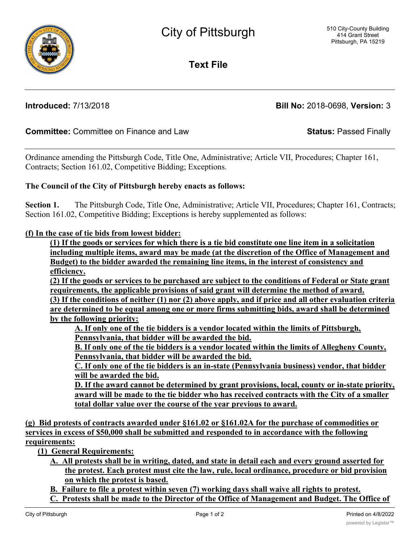**Text File**

**Introduced:** 7/13/2018 **Bill No:** 2018-0698, **Version:** 3

## **Committee:** Committee on Finance and Law **Status:** Passed Finally

Ordinance amending the Pittsburgh Code, Title One, Administrative; Article VII, Procedures; Chapter 161, Contracts; Section 161.02, Competitive Bidding; Exceptions.

## **The Council of the City of Pittsburgh hereby enacts as follows:**

**Section 1.** The Pittsburgh Code, Title One, Administrative; Article VII, Procedures; Chapter 161, Contracts; Section 161.02, Competitive Bidding; Exceptions is hereby supplemented as follows:

## **(f) In the case of tie bids from lowest bidder:**

**(1) If the goods or services for which there is a tie bid constitute one line item in a solicitation including multiple items, award may be made (at the discretion of the Office of Management and Budget) to the bidder awarded the remaining line items, in the interest of consistency and efficiency.**

**(2) If the goods or services to be purchased are subject to the conditions of Federal or State grant requirements, the applicable provisions of said grant will determine the method of award.**

**(3) If the conditions of neither (1) nor (2) above apply, and if price and all other evaluation criteria are determined to be equal among one or more firms submitting bids, award shall be determined by the following priority:**

**A. If only one of the tie bidders is a vendor located within the limits of Pittsburgh, Pennsylvania, that bidder will be awarded the bid.**

**B. If only one of the tie bidders is a vendor located within the limits of Allegheny County, Pennsylvania, that bidder will be awarded the bid.**

**C. If only one of the tie bidders is an in-state (Pennsylvania business) vendor, that bidder will be awarded the bid.**

**D. If the award cannot be determined by grant provisions, local, county or in-state priority, award will be made to the tie bidder who has received contracts with the City of a smaller total dollar value over the course of the year previous to award.**

**(g) Bid protests of contracts awarded under §161.02 or §161.02A for the purchase of commodities or services in excess of \$50,000 shall be submitted and responded to in accordance with the following requirements:**

**(1) General Requirements:**

- **A. All protests shall be in writing, dated, and state in detail each and every ground asserted for the protest. Each protest must cite the law, rule, local ordinance, procedure or bid provision on which the protest is based.**
- **B. Failure to file a protest within seven (7) working days shall waive all rights to protest.**
- **C. Protests shall be made to the Director of the Office of Management and Budget. The Office of**